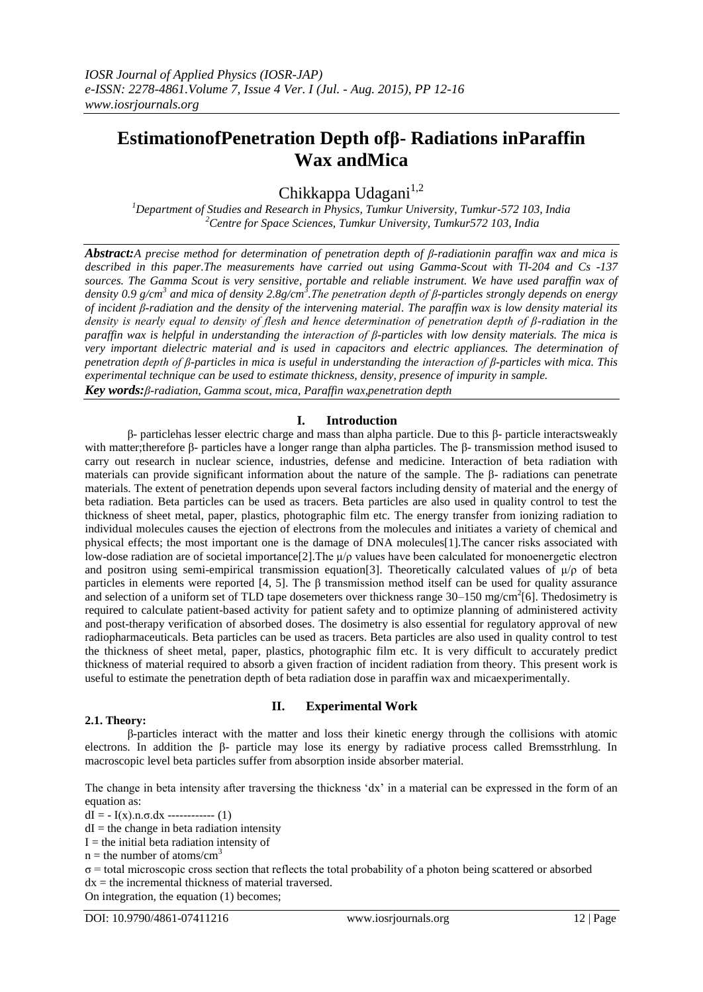# **EstimationofPenetration Depth ofβ- Radiations inParaffin Wax andMica**

Chikkappa Udagani $1,2$ 

*<sup>1</sup>Department of Studies and Research in Physics, Tumkur University, Tumkur-572 103, India <sup>2</sup>Centre for Space Sciences, Tumkur University, Tumkur572 103, India*

*Abstract:A precise method for determination of penetration depth of β-radiationin paraffin wax and mica is described in this paper.The measurements have carried out using Gamma-Scout with Tl-204 and Cs -137 sources. The Gamma Scout is very sensitive, portable and reliable instrument. We have used paraffin wax of density 0.9 g/cm<sup>3</sup> and mica of density 2.8g/cm<sup>3</sup> .The penetration depth of β-particles strongly depends on energy of incident β-radiation and the density of the intervening material. The paraffin wax is low density material its density is nearly equal to density of flesh and hence determination of penetration depth of β-radiation in the paraffin wax is helpful in understanding the interaction of β-particles with low density materials. The mica is very important dielectric material and is used in capacitors and electric appliances. The determination of penetration depth of β-particles in mica is useful in understanding the interaction of β-particles with mica. This experimental technique can be used to estimate thickness, density, presence of impurity in sample. Key words:β-radiation, Gamma scout, mica, Paraffin wax,penetration depth*

## **I. Introduction**

β- particlehas lesser electric charge and mass than alpha particle. Due to this β- particle interactsweakly with matter;therefore β- particles have a longer range than alpha particles. The β- transmission method isused to carry out research in nuclear science, industries, defense and medicine. Interaction of beta radiation with materials can provide significant information about the nature of the sample. The β- radiations can penetrate materials. The extent of penetration depends upon several factors including density of material and the energy of beta radiation. Beta particles can be used as tracers. Beta particles are also used in quality control to test the thickness of sheet metal, paper, plastics, photographic film etc. The energy transfer from ionizing radiation to individual molecules causes the ejection of electrons from the molecules and initiates a variety of chemical and physical effects; the most important one is the damage of DNA molecules[1].The cancer risks associated with low-dose radiation are of societal importance[2]. The  $\mu/\rho$  values have been calculated for monoenergetic electron and positron using semi-empirical transmission equation[3]. Theoretically calculated values of  $\mu/\rho$  of beta particles in elements were reported [4, 5]. The  $\beta$  transmission method itself can be used for quality assurance and selection of a uniform set of TLD tape dosemeters over thickness range  $30-150$  mg/cm<sup>2</sup>[6]. The dosimetry is required to calculate patient-based activity for patient safety and to optimize planning of administered activity and post-therapy verification of absorbed doses. The dosimetry is also essential for regulatory approval of new radiopharmaceuticals. Beta particles can be used as tracers. Beta particles are also used in quality control to test the thickness of sheet metal, paper, plastics, photographic film etc. It is very difficult to accurately predict thickness of material required to absorb a given fraction of incident radiation from theory. This present work is useful to estimate the penetration depth of beta radiation dose in paraffin wax and micaexperimentally.

## **2.1. Theory:**

# **II. Experimental Work**

β-particles interact with the matter and loss their kinetic energy through the collisions with atomic electrons. In addition the β- particle may lose its energy by radiative process called Bremsstrhlung. In macroscopic level beta particles suffer from absorption inside absorber material.

The change in beta intensity after traversing the thickness 'dx' in a material can be expressed in the form of an equation as:

dI =  $-I(x)$ .n. $\sigma$ .dx ------------- (1)

 $dI$  = the change in beta radiation intensity

 $I =$  the initial beta radiation intensity of

 $n =$  the number of atoms/cm<sup>3</sup>

σ = total microscopic cross section that reflects the total probability of a photon being scattered or absorbed  $dx =$  the incremental thickness of material traversed.

On integration, the equation (1) becomes;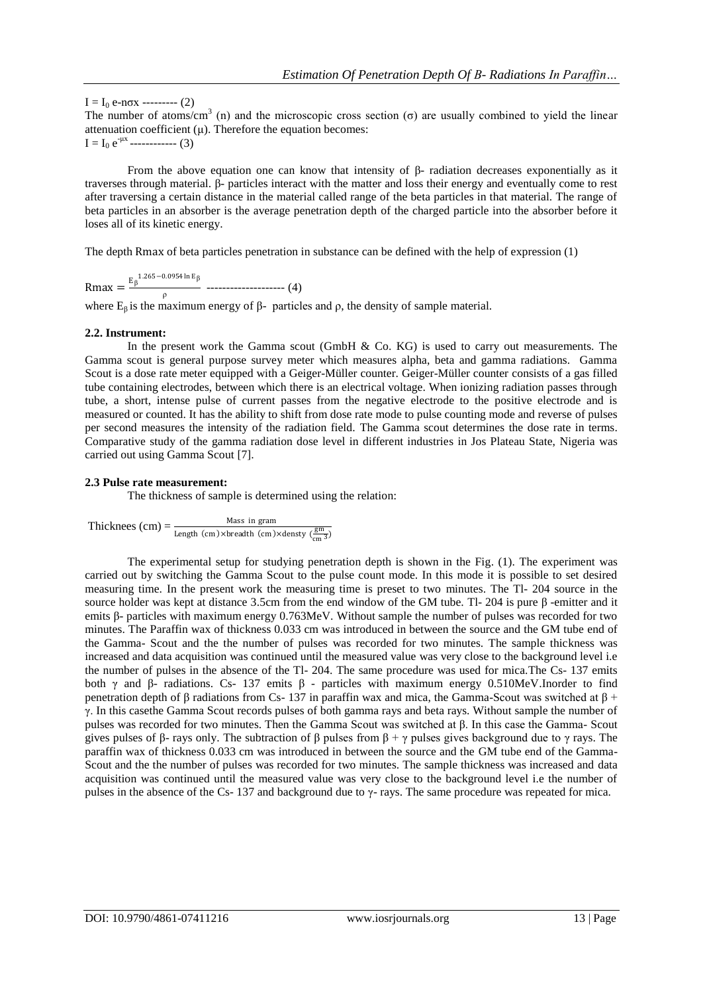$I = I_0 e$ -nσx --------- (2)

The number of atoms/cm<sup>3</sup> (n) and the microscopic cross section ( $\sigma$ ) are usually combined to yield the linear attenuation coefficient  $(u)$ . Therefore the equation becomes:  $I = I_0 e^{-\mu x}$ ------------ (3)

From the above equation one can know that intensity of  $\beta$ - radiation decreases exponentially as it traverses through material. β- particles interact with the matter and loss their energy and eventually come to rest after traversing a certain distance in the material called range of the beta particles in that material. The range of beta particles in an absorber is the average penetration depth of the charged particle into the absorber before it loses all of its kinetic energy.

The depth Rmax of beta particles penetration in substance can be defined with the help of expression (1)

$$
Rmax = \frac{E_{\beta}^{1.265 - 0.0954 \ln E_{\beta}}}{\rho} \dots (4)
$$

where  $E_\beta$  is the maximum energy of β- particles and ρ, the density of sample material.

#### **2.2. Instrument:**

In the present work the Gamma scout (GmbH  $\&$  Co. KG) is used to carry out measurements. The Gamma scout is general purpose survey meter which measures alpha, beta and gamma radiations. Gamma Scout is a dose rate meter equipped with a Geiger-Müller counter. Geiger-Müller counter consists of a gas filled tube containing electrodes, between which there is an electrical voltage. When ionizing radiation passes through tube, a short, intense pulse of current passes from the negative electrode to the positive electrode and is measured or counted. It has the ability to shift from dose rate mode to pulse counting mode and reverse of pulses per second measures the intensity of the radiation field. The Gamma scout determines the dose rate in terms. Comparative study of the gamma radiation dose level in different industries in Jos Plateau State, Nigeria was carried out using Gamma Scout [7].

#### **2.3 Pulse rate measurement:**

The thickness of sample is determined using the relation:

Thicknees  $\text{(cm)} = \frac{\text{Mass in gram}}{\text{Length (cm)} \times \text{breadth (cm)} \times \text{density } (\frac{\text{gm}}{\text{cm}^3})}$ 

The experimental setup for studying penetration depth is shown in the Fig. (1). The experiment was carried out by switching the Gamma Scout to the pulse count mode. In this mode it is possible to set desired measuring time. In the present work the measuring time is preset to two minutes. The Tl- 204 source in the source holder was kept at distance 3.5cm from the end window of the GM tube. Tl- 204 is pure β -emitter and it emits β- particles with maximum energy 0.763MeV. Without sample the number of pulses was recorded for two minutes. The Paraffin wax of thickness 0.033 cm was introduced in between the source and the GM tube end of the Gamma- Scout and the the number of pulses was recorded for two minutes. The sample thickness was increased and data acquisition was continued until the measured value was very close to the background level i.e the number of pulses in the absence of the Tl- 204. The same procedure was used for mica.The Cs- 137 emits both γ and β- radiations. Cs- 137 emits β - particles with maximum energy 0.510MeV.Inorder to find penetration depth of β radiations from Cs- 137 in paraffin wax and mica, the Gamma-Scout was switched at  $β +$ γ. In this casethe Gamma Scout records pulses of both gamma rays and beta rays. Without sample the number of pulses was recorded for two minutes. Then the Gamma Scout was switched at β. In this case the Gamma- Scout gives pulses of β- rays only. The subtraction of β pulses from  $β + γ$  pulses gives background due to γ rays. The paraffin wax of thickness 0.033 cm was introduced in between the source and the GM tube end of the Gamma-Scout and the the number of pulses was recorded for two minutes. The sample thickness was increased and data acquisition was continued until the measured value was very close to the background level i.e the number of pulses in the absence of the Cs- 137 and background due to γ- rays. The same procedure was repeated for mica.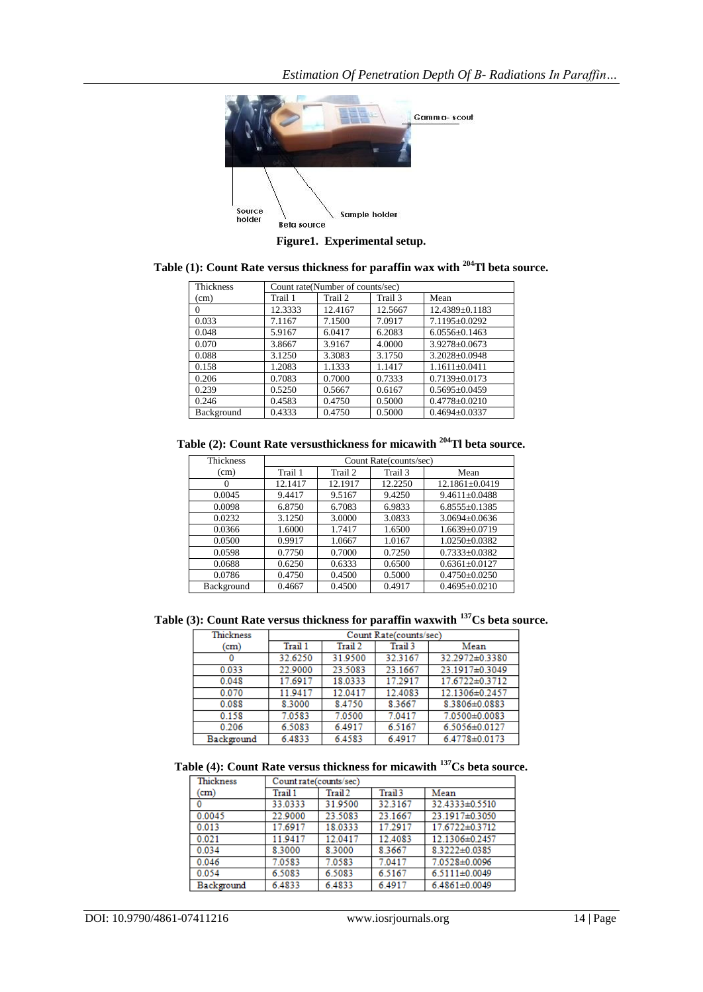

**Figure1. Experimental setup.**

| Table (1): Count Rate versus thickness for paraffin wax with <sup>204</sup> Tl beta source. |  |
|---------------------------------------------------------------------------------------------|--|
|---------------------------------------------------------------------------------------------|--|

| Thickness  | Count rate(Number of counts/sec) |         |         |                     |
|------------|----------------------------------|---------|---------|---------------------|
| (cm)       | Trail 1                          | Trail 2 | Trail 3 | Mean                |
| $\Omega$   | 12.3333                          | 12.4167 | 12.5667 | 12.4389±0.1183      |
| 0.033      | 7.1167                           | 7.1500  | 7.0917  | 7.1195±0.0292       |
| 0.048      | 5.9167                           | 6.0417  | 6.2083  | $6.0556 \pm 0.1463$ |
| 0.070      | 3.8667                           | 3.9167  | 4.0000  | $3.9278 \pm 0.0673$ |
| 0.088      | 3.1250                           | 3.3083  | 3.1750  | $3.2028 \pm 0.0948$ |
| 0.158      | 1.2083                           | 1.1333  | 1.1417  | $1.1611\pm0.0411$   |
| 0.206      | 0.7083                           | 0.7000  | 0.7333  | $0.7139 \pm 0.0173$ |
| 0.239      | 0.5250                           | 0.5667  | 0.6167  | $0.5695 \pm 0.0459$ |
| 0.246      | 0.4583                           | 0.4750  | 0.5000  | $0.4778 \pm 0.0210$ |
| Background | 0.4333                           | 0.4750  | 0.5000  | $0.4694 \pm 0.0337$ |

**Table (2): Count Rate versusthickness for micawith <sup>204</sup>Tl beta source.**

| <b>Thickness</b> | Count Rate(counts/sec) |         |         |                      |
|------------------|------------------------|---------|---------|----------------------|
| (cm)             | Trail 1                | Trail 2 | Trail 3 | Mean                 |
| $\Omega$         | 12.1417                | 12.1917 | 12.2250 | $12.1861 \pm 0.0419$ |
| 0.0045           | 9.4417                 | 9.5167  | 9.4250  | $9.4611 \pm 0.0488$  |
| 0.0098           | 6.8750                 | 6.7083  | 6.9833  | $6.8555 \pm 0.1385$  |
| 0.0232           | 3.1250                 | 3.0000  | 3.0833  | $3.0694 \pm 0.0636$  |
| 0.0366           | 1.6000                 | 1.7417  | 1.6500  | $1.6639 \pm 0.0719$  |
| 0.0500           | 0.9917                 | 1.0667  | 1.0167  | $1.0250 + 0.0382$    |
| 0.0598           | 0.7750                 | 0.7000  | 0.7250  | $0.7333 \pm 0.0382$  |
| 0.0688           | 0.6250                 | 0.6333  | 0.6500  | $0.6361 \pm 0.0127$  |
| 0.0786           | 0.4750                 | 0.4500  | 0.5000  | $0.4750 \pm 0.0250$  |
| Background       | 0.4667                 | 0.4500  | 0.4917  | $0.4695 \pm 0.0210$  |

**Table (3): Count Rate versus thickness for paraffin waxwith <sup>137</sup>Cs beta source.**

| <b>Thickness</b> | Count Rate(counts/sec) |         |         |                |
|------------------|------------------------|---------|---------|----------------|
| (cm)             | Trail 1                | Trail 2 | Trail 3 | Mean           |
|                  | 32.6250                | 31.9500 | 32.3167 | 32.2972±0.3380 |
| 0.033            | 22.9000                | 23.5083 | 23.1667 | 23.1917±0.3049 |
| 0.048            | 17.6917                | 18.0333 | 17.2917 | 17.6722±0.3712 |
| 0.070            | 11.9417                | 12.0417 | 12.4083 | 12.1306±0.2457 |
| 0.088            | 8.3000                 | 8.4750  | 8.3667  | 8.3806±0.0883  |
| 0.158            | 7.0583                 | 7.0500  | 7.0417  | 7.0500±0.0083  |
| 0.206            | 6.5083                 | 6.4917  | 6.5167  | 6.5056±0.0127  |
| Background       | 6.4833                 | 6.4583  | 6.4917  | 6.4778±0.0173  |

**Table (4): Count Rate versus thickness for micawith <sup>137</sup>Cs beta source.**

| Thickness  | Count rate(counts/sec) |         |         |                     |
|------------|------------------------|---------|---------|---------------------|
| (cm)       | Trail 1                | Trail 2 | Trail 3 | Mean                |
| 0          | 33.0333                | 31.9500 | 32.3167 | 32.4333±0.5510      |
| 0.0045     | 22.9000                | 23.5083 | 23.1667 | 23.1917±0.3050      |
| 0.013      | 17.6917                | 18.0333 | 17.2917 | 17.6722±0.3712      |
| 0.021      | 11.9417                | 12.0417 | 12.4083 | 12.1306±0.2457      |
| 0.034      | 8.3000                 | 8.3000  | 8.3667  | 8.3222±0.0385       |
| 0.046      | 7.0583                 | 7.0583  | 7.0417  | 7.0528±0.0096       |
| 0.054      | 6.5083                 | 6.5083  | 6.5167  | $6.5111 \pm 0.0049$ |
| Background | 6.4833                 | 6.4833  | 6.4917  | $6.4861 \pm 0.0049$ |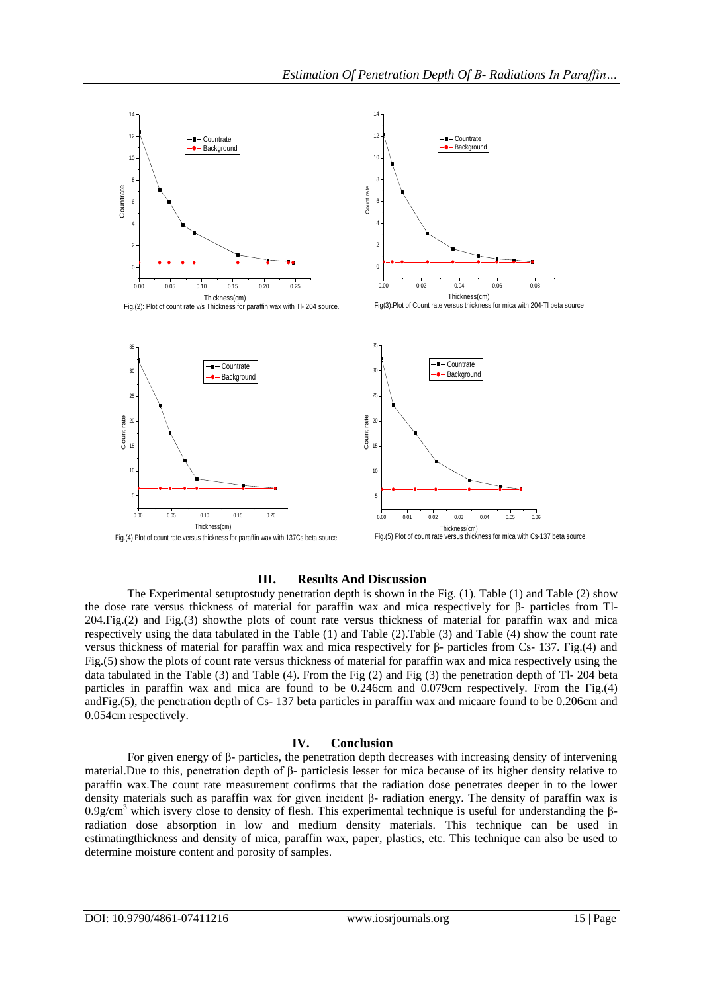

## **III. Results And Discussion**

The Experimental setuptostudy penetration depth is shown in the Fig. (1). Table (1) and Table (2) show the dose rate versus thickness of material for paraffin wax and mica respectively for β- particles from Tl-204.Fig.(2) and Fig.(3) showthe plots of count rate versus thickness of material for paraffin wax and mica respectively using the data tabulated in the Table (1) and Table (2).Table (3) and Table (4) show the count rate versus thickness of material for paraffin wax and mica respectively for β- particles from Cs- 137. Fig.(4) and Fig.(5) show the plots of count rate versus thickness of material for paraffin wax and mica respectively using the data tabulated in the Table (3) and Table (4). From the Fig (2) and Fig (3) the penetration depth of Tl- 204 beta particles in paraffin wax and mica are found to be 0.246cm and 0.079cm respectively. From the Fig.(4) andFig.(5), the penetration depth of Cs- 137 beta particles in paraffin wax and micaare found to be 0.206cm and 0.054cm respectively.

#### **IV. Conclusion**

For given energy of β- particles, the penetration depth decreases with increasing density of intervening material.Due to this, penetration depth of β- particlesis lesser for mica because of its higher density relative to paraffin wax.The count rate measurement confirms that the radiation dose penetrates deeper in to the lower density materials such as paraffin wax for given incident β- radiation energy. The density of paraffin wax is 0.9g/cm<sup>3</sup> which isvery close to density of flesh. This experimental technique is useful for understanding the βradiation dose absorption in low and medium density materials. This technique can be used in estimatingthickness and density of mica, paraffin wax, paper, plastics, etc. This technique can also be used to determine moisture content and porosity of samples.